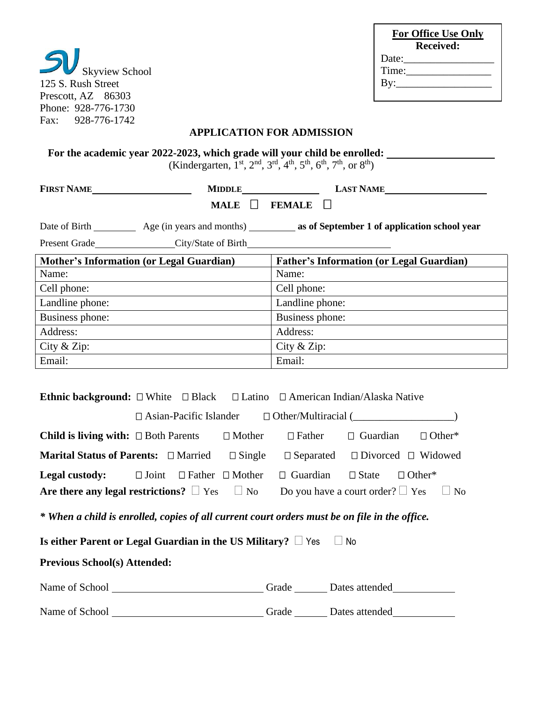| <b>Skyview School</b>        |
|------------------------------|
| 125 S. Rush Street           |
| Prescott, AZ 86303           |
| Phone: 928-776-1730          |
| 928-776-1742<br>$\rm{Fax}$ . |

| <b>For Office Use Only</b> |  |
|----------------------------|--|
| <b>Received:</b>           |  |
| Date:______                |  |
| Time:                      |  |
| By:________                |  |
|                            |  |

## **APPLICATION FOR ADMISSION**

**For the academic year 2022-2023, which grade will your child be enrolled:** 

(Kindergarten, 1<sup>st</sup>, 2<sup>nd</sup>, 3<sup>rd</sup>, 4<sup>th</sup>, 5<sup>th</sup>, 6<sup>th</sup>, 7<sup>th</sup>, or 8<sup>th</sup>)

| <b>FIRST NAME</b>                               | <b>MIDDLE</b> | <b>LAST NAME</b>                                                                     |
|-------------------------------------------------|---------------|--------------------------------------------------------------------------------------|
|                                                 | <b>MALE</b>   | FEMALE L                                                                             |
|                                                 |               | Date of Birth Age (in years and months) as of September 1 of application school year |
| Present Grade City/State of Birth               |               |                                                                                      |
| <b>Mother's Information (or Legal Guardian)</b> |               | <b>Father's Information (or Legal Guardian)</b>                                      |
| Name:                                           |               | Name:                                                                                |
| Cell phone:                                     |               | Cell phone:                                                                          |
| Landline phone:                                 |               | Landline phone:                                                                      |
| Business phone:                                 |               | Business phone:                                                                      |
| Address:                                        |               | Address:                                                                             |
| City & Zip:                                     |               | City & Zip:                                                                          |
| Email:                                          |               | Email:                                                                               |

|                                                                                                                |  |  |  | <b>Ethnic background:</b> $\Box$ White $\Box$ Black $\Box$ Latino $\Box$ American Indian/Alaska Native |                            |               |  |  |
|----------------------------------------------------------------------------------------------------------------|--|--|--|--------------------------------------------------------------------------------------------------------|----------------------------|---------------|--|--|
| $\Box$ Asian-Pacific Islander $\Box$ Other/Multiracial ( $\Box$                                                |  |  |  |                                                                                                        |                            |               |  |  |
| <b>Child is living with:</b> $\square$ Both Parents $\square$ Mother $\square$ Father $\square$ Guardian       |  |  |  |                                                                                                        |                            | $\Box$ Other* |  |  |
| <b>Marital Status of Parents:</b> $\Box$ Married $\Box$ Single $\Box$ Separated $\Box$ Divorced $\Box$ Widowed |  |  |  |                                                                                                        |                            |               |  |  |
| <b>Legal custody:</b> $\square$ Joint $\square$ Father $\square$ Mother                                        |  |  |  | $\Box$ Guardian                                                                                        | $\Box$ State $\Box$ Other* |               |  |  |
| Are there any legal restrictions? $\Box$ Yes $\Box$ No Do you have a court order? $\Box$ Yes $\Box$ No         |  |  |  |                                                                                                        |                            |               |  |  |
| * When a child is enrolled, copies of all current court orders must be on file in the office.                  |  |  |  |                                                                                                        |                            |               |  |  |
| Is either Parent or Legal Guardian in the US Military? $\Box$ Yes $\Box$ No                                    |  |  |  |                                                                                                        |                            |               |  |  |
| <b>Previous School(s) Attended:</b>                                                                            |  |  |  |                                                                                                        |                            |               |  |  |
|                                                                                                                |  |  |  |                                                                                                        |                            |               |  |  |
|                                                                                                                |  |  |  |                                                                                                        | Grade Dates attended       |               |  |  |